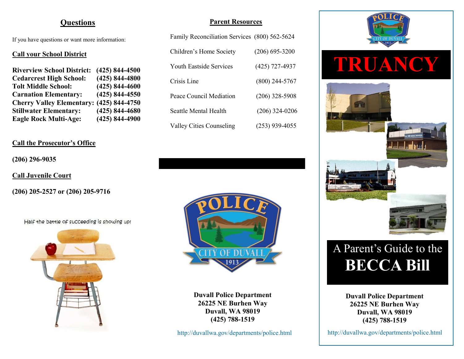# **Questions**

If you have questions or want more information:

#### **Call your School District**

| <b>Riverview School District:</b> | $(425) 844 - 4500$ |
|-----------------------------------|--------------------|
| <b>Cedarcrest High School:</b>    | $(425) 844 - 4800$ |
| <b>Tolt Middle School:</b>        | $(425) 844 - 4600$ |
| <b>Carnation Elementary:</b>      | $(425) 844 - 4550$ |
| <b>Cherry Valley Elementary:</b>  | $(425) 844 - 4750$ |
| <b>Stillwater Elementary:</b>     | $(425) 844 - 4680$ |
| <b>Eagle Rock Multi-Age:</b>      | $(425) 844 - 4900$ |

## **Call the Prosecutor's Office**

#### **(206) 296-9035**

**Call Juvenile Court** 

**(206) 205-2527 or (206) 205-9716**

Half the battle of succeeding is showing up!



### **Parent Resources**

| Family Reconciliation Services (800) 562-5624 |                  |
|-----------------------------------------------|------------------|
| Children's Home Society                       | $(206)$ 695-3200 |
| <b>Youth Eastside Services</b>                | (425) 727-4937   |
| Crisis Line                                   | $(800)$ 244-5767 |
| Peace Council Mediation                       | $(206)$ 328-5908 |
| Seattle Mental Health                         | $(206)$ 324-0206 |
| <b>Valley Cities Counseling</b>               | $(253)$ 939-4055 |



**Duvall Police Department 26225 NE Burhen Way Duvall, WA 98019 (425) 788-1519**

http://duvallwa.gov/departments/police.html



# A Parent's Guide to the **BECCA Bill**

**Duvall Police Department 26225 NE Burhen Way Duvall, WA 98019 (425) 788-1519**

http://duvallwa.gov/departments/police.html